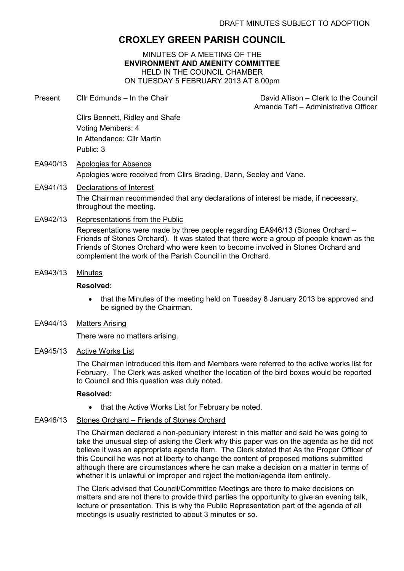# CROXLEY GREEN PARISH COUNCIL

MINUTES OF A MEETING OF THE ENVIRONMENT AND AMENITY COMMITTEE HELD IN THE COUNCIL CHAMBER ON TUESDAY 5 FEBRUARY 2013 AT 8.00pm

- Present Cllr Edmunds In the Chair David Allison Clerk to the Council Amanda Taft – Administrative Officer Cllrs Bennett, Ridley and Shafe Voting Members: 4 In Attendance: Cllr Martin Public: 3 EA940/13 Apologies for Absence
- Apologies were received from Cllrs Brading, Dann, Seeley and Vane. EA941/13 Declarations of Interest The Chairman recommended that any declarations of interest be made, if necessary, throughout the meeting.

## EA942/13 Representations from the Public

Representations were made by three people regarding EA946/13 (Stones Orchard – Friends of Stones Orchard). It was stated that there were a group of people known as the Friends of Stones Orchard who were keen to become involved in Stones Orchard and complement the work of the Parish Council in the Orchard.

EA943/13 Minutes

#### Resolved:

- that the Minutes of the meeting held on Tuesday 8 January 2013 be approved and be signed by the Chairman.
- EA944/13 Matters Arising

There were no matters arising.

### EA945/13 Active Works List

The Chairman introduced this item and Members were referred to the active works list for February. The Clerk was asked whether the location of the bird boxes would be reported to Council and this question was duly noted.

#### Resolved:

• that the Active Works List for February be noted.

# EA946/13 Stones Orchard – Friends of Stones Orchard

The Chairman declared a non-pecuniary interest in this matter and said he was going to take the unusual step of asking the Clerk why this paper was on the agenda as he did not believe it was an appropriate agenda item. The Clerk stated that As the Proper Officer of this Council he was not at liberty to change the content of proposed motions submitted although there are circumstances where he can make a decision on a matter in terms of whether it is unlawful or improper and reject the motion/agenda item entirely.

The Clerk advised that Council/Committee Meetings are there to make decisions on matters and are not there to provide third parties the opportunity to give an evening talk, lecture or presentation. This is why the Public Representation part of the agenda of all meetings is usually restricted to about 3 minutes or so.